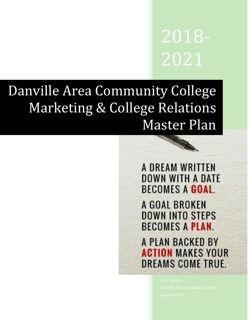2018- 2021

# Danville Area Community College Marketing & College Relations Master Plan



A GOAL BROKEN **DOWN INTO STEPS BECOMES A PLAN** 

A PLAN BACKED BY **ACTION MAKES YOUR DREAMS COME TRUE.**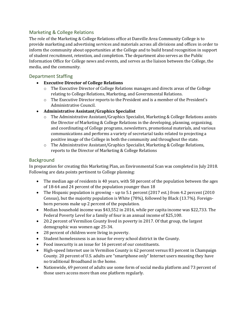## Marketing & College Relations

The role of the Marketing & College Relations office at Danville Area Community College is to provide marketing and advertising services and materials across all divisions and offices in order to inform the community about opportunities at the College and to build brand recognition in support of student recruitment, retention, and completion. The department also serves as the Public Information Office for College news and events, and serves as the liaison between the College, the media, and the community.

### Department Staffing

- **Executive Director of College Relations**
	- $\circ$  The Executive Director of College Relations manages and directs areas of the College relating to College Relations, Marketing, and Governmental Relations.
	- o The Executive Director reports to the President and is a member of the President's Administrative Council.
- **Administrative Assistant/Graphics Specialist**
	- o The Administrative Assistant/Graphics Specialist, Marketing & College Relations assists the Director of Marketing & College Relations in the developing, planning, organizing, and coordinating of College programs, newsletters, promotional materials, and various communications and performs a variety of secretarial tasks related to projecting a positive image of the College in both the community and throughout the state.
	- o The Administrative Assistant/Graphics Specialist, Marketing & College Relations, reports to the Director of Marketing & College Relations

#### **Background**

In preparation for creating this Marketing Plan, an Environmental Scan was completed in July 2018. Following are data points pertinent to College planning:

- The median age of residents is 40 years, with 58 percent of the population between the ages of 18-64 and 24 percent of the population younger than 18
- The Hispanic population is growing up to 5.1 percent (2017 est.) from 4.2 percent (2010 Census), but the majority population is White (78%), followed by Black (13.7%). Foreignborn persons make up 2 percent of the population.
- Median household income was \$43,552 in 2016, while per capita income was \$22,733. The Federal Poverty Level for a family of four is an annual income of \$25,100.
- 20.2 percent of Vermilion County lived in poverty in 2017. Of that group, the largest demographic was women age 25-34.
- 28 percent of children were living in poverty.
- Student homelessness is an issue for every school district in the County.
- Food insecurity is an issue for 16 percent of our constituents.
- High-speed Internet use in Vermilion County is 62 percent versus 83 percent in Champaign County. 20 percent of U.S. adults are "smartphone only" Internet users meaning they have no traditional Broadband in the home.
- Nationwide, 69 percent of adults use some form of social media platform and 73 percent of those users access more than one platform regularly.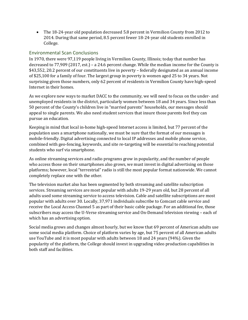The 18-24-year old population decreased 5.8 percent in Vermilion County from 2012 to 2014. During that same period, 8.5 percent fewer 18-24-year old students enrolled in College.

#### Environmental Scan Conclusions

In 1970, there were 97,119 people living in Vermilion County, Illinois; today that number has decreased to 77,909 (2017, est.) – a 24.6 percent change. While the median income for the County is \$43,552, 20.2 percent of our constituents live in poverty – federally designated as an annual income of \$25,100 for a family of four. The largest group in poverty is women aged 25 to 34 years. Not surprising given those numbers, only 62 percent of residents in Vermilion County have high-speed Internet in their homes.

As we explore new ways to market DACC to the community, we will need to focus on the under- and unemployed residents in the district, particularly women between 18 and 34 years. Since less than 50 percent of the County's children live in "married parents" households, our messages should appeal to single parents. We also need student services that insure those parents feel they can pursue an education.

Keeping in mind that local in-home high-speed Internet access is limited, but 77 percent of the population uses a smartphone nationally, we must be sure that the format of our messages is mobile-friendly. Digital advertising connected to local IP addresses and mobile phone service, combined with geo-fencing, keywords, and site re-targeting will be essential to reaching potential students who surf via smartphone.

As online streaming services and radio programs grow in popularity, and the number of people who access those on their smartphones also grows, we must invest in digital advertising on those platforms; however, local "terrestrial" radio is still the most popular format nationwide. We cannot completely replace one with the other.

The television market also has been segmented by both streaming and satellite subscription services. Streaming services are most popular with adults 19-29 years old, but 28 percent of all adults used some streaming service to access television. Cable and satellite subscriptions are most popular with adults over 30. Locally, 37,971 individuals subscribe to Comcast cable service and receive the Local Access Channel 5 as part of their basic cable package. For an additional fee, those subscribers may access the U-Verse streaming service and On-Demand television viewing – each of which has an advertising option.

Social media grows and changes almost hourly, but we know that 69 percent of American adults use some social media platform. Choice of platform varies by age, but 75 percent of all American adults use YouTube and it is most popular with adults between 18 and 24 years (94%). Given the popularity of the platform, the College should invest in upgrading video production capabilities in both staff and facilities.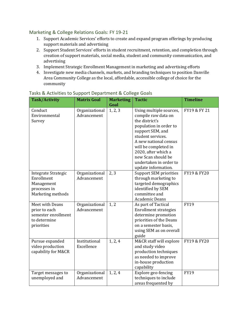## Marketing & College Relations Goals: FY 19-21

- 1. Support Academic Services' efforts to create and expand program offerings by producing support materials and advertising
- 2. Support Student Services' efforts in student recruitment, retention, and completion through creation of support materials, social media, student and community communication, and advertising
- 3. Implement Strategic Enrollment Management in marketing and advertising efforts
- 4. Investigate new media channels, markets, and branding techniques to position Danville Area Community College as the local, affordable, accessible college of choice for the community

| <b>Task/Activity</b>                                                                  | <b>Matrix Goal</b>            | <b>Marketing</b><br>Goal | <b>Tactic</b>                                                                                                                                                                                                                                                                      | <b>Timeline</b> |
|---------------------------------------------------------------------------------------|-------------------------------|--------------------------|------------------------------------------------------------------------------------------------------------------------------------------------------------------------------------------------------------------------------------------------------------------------------------|-----------------|
| Conduct<br>Environmental<br>Survey                                                    | Organizational<br>Advancement | 1, 2, 3                  | Using multiple sources,<br>compile raw data on<br>the district's<br>population in order to<br>support SEM, and<br>student services.<br>A new national census<br>will be completed in<br>2020, after which a<br>new Scan should be<br>undertaken in order to<br>update information. | FY19 & FY 21    |
| Integrate Strategic<br>Enrollment<br>Management<br>processes in<br>Marketing methods  | Organizational<br>Advancement | 2, 3                     | <b>Support SEM priorities</b><br>through marketing to<br>targeted demographics<br>identified by SEM<br>committee and<br><b>Academic Deans</b>                                                                                                                                      | FY19 & FY20     |
| Meet with Deans<br>prior to each<br>semester enrollment<br>to determine<br>priorities | Organizational<br>Advancement | 1, 2                     | As part of Tactical<br><b>Enrollment strategies</b><br>determine promotion<br>priorities of the Deans<br>on a semester basis,<br>using SEM as on overall<br>guide                                                                                                                  | <b>FY19</b>     |
| Pursue expanded<br>video production<br>capability for M&CR                            | Institutional<br>Excellence   | 1, 2, 4                  | M&CR staff will explore<br>and study video<br>production techniques<br>as needed to improve<br>in-house production<br>capability                                                                                                                                                   | FY19 & FY20     |
| Target messages to<br>unemployed and                                                  | Organizational<br>Advancement | 1, 2, 4                  | Explore geo-fencing<br>techniques to include<br>areas frequented by                                                                                                                                                                                                                | <b>FY19</b>     |

#### Tasks & Activities to Support Department & College Goals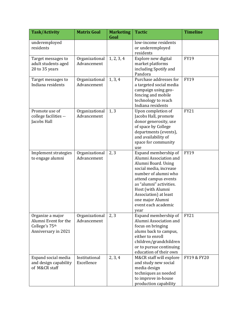| <b>Task/Activity</b>                                                              | <b>Matrix Goal</b>            | <b>Marketing</b> | <b>Tactic</b>                                                                                                                                                                                                                                                               | <b>Timeline</b> |
|-----------------------------------------------------------------------------------|-------------------------------|------------------|-----------------------------------------------------------------------------------------------------------------------------------------------------------------------------------------------------------------------------------------------------------------------------|-----------------|
| underemployed<br>residents                                                        |                               | Goal             | low-income residents<br>or underemployed<br>residents                                                                                                                                                                                                                       |                 |
| Target messages to<br>adult students aged<br>20 to 35 years                       | Organizational<br>Advancement | 1, 2, 3, 4       | Explore new digital<br>market platforms<br>including Spotify and<br>Pandora                                                                                                                                                                                                 | <b>FY19</b>     |
| Target messages to<br>Indiana residents                                           | Organizational<br>Advancement | 1, 3, 4          | Purchase addresses for<br>a targeted social media<br>campaign using geo-<br>fencing and mobile<br>technology to reach<br>Indiana residents                                                                                                                                  | <b>FY19</b>     |
| Promote use of<br>college facilities --<br>Jacobs Hall                            | Organizational<br>Advancement | 1, 3             | Upon completion of<br>Jacobs Hall, promote<br>donor generosity, use<br>of space by College<br>departments (events),<br>and availability of<br>space for community<br>use                                                                                                    | <b>FY21</b>     |
| Implement strategies<br>to engage alumni                                          | Organizational<br>Advancement | 2, 3             | Expand membership of<br>Alumni Association and<br>Alumni Board. Using<br>social media, increase<br>number of alumni who<br>attend campus events<br>as "alumni" activities.<br>Host (with Alumni<br>Association) at least<br>one major Alumni<br>event each academic<br>year | <b>FY19</b>     |
| Organize a major<br>Alumni Event for the<br>College's 75th<br>Anniversary in 2021 | Organizational<br>Advancement | 2, 3             | Expand membership of<br>Alumni Association and<br>focus on bringing<br>alums back to campus,<br>either to enroll<br>children/grandchildren<br>or to pursue continuing<br>education of their own                                                                             | <b>FY21</b>     |
| Expand social media<br>and design capability<br>of M&CR staff                     | Institutional<br>Excellence   | 2, 3, 4          | M&CR staff will explore<br>and study new social<br>media design<br>techniques as needed<br>to improve in-house<br>production capability                                                                                                                                     | FY19 & FY20     |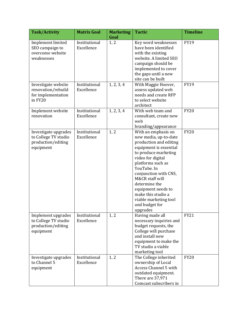| <b>Task/Activity</b>                                                            | <b>Matrix Goal</b>          | <b>Marketing</b> | <b>Tactic</b>                                                                                                                                                                                                                                                                                                                                     | <b>Timeline</b> |
|---------------------------------------------------------------------------------|-----------------------------|------------------|---------------------------------------------------------------------------------------------------------------------------------------------------------------------------------------------------------------------------------------------------------------------------------------------------------------------------------------------------|-----------------|
|                                                                                 |                             | Goal             |                                                                                                                                                                                                                                                                                                                                                   |                 |
| Implement limited<br>SEO campaign to<br>overcome website<br>weaknesses          | Institutional<br>Excellence | 1, 2             | Key word weaknesses<br>have been identified<br>with the existing<br>website. A limited SEO<br>campaign should be<br>implemented to cover<br>the gaps until a new<br>site can be built                                                                                                                                                             | <b>FY19</b>     |
| Investigate website<br>renovation/rebuild<br>for implementation<br>in FY20      | Institutional<br>Excellence | 1, 2, 3, 4       | With Maggie Hoover,<br>assess updated web<br>needs and create RFP<br>to select website<br>architect                                                                                                                                                                                                                                               | <b>FY19</b>     |
| Implement website<br>renovation                                                 | Institutional<br>Excellence | 1, 2, 3, 4       | With web team and<br>consultant, create new<br>web<br>branding/appearance                                                                                                                                                                                                                                                                         | <b>FY20</b>     |
| Investigate upgrades<br>to College TV studio<br>production/editing<br>equipment | Institutional<br>Excellence | 1, 2             | With an emphasis on<br>new media, up-to-date<br>production and editing<br>equipment is essential<br>to produce marketing<br>video for digital<br>platforms such as<br>YouTube. In<br>conjunction with CNS,<br>M&CR staff will<br>determine the<br>equipment needs to<br>make this studio a<br>viable marketing tool<br>and budget for<br>upgrades | <b>FY20</b>     |
| Implement upgrades<br>to College TV studio<br>production/editing<br>equipment   | Institutional<br>Excellence | 1, 2             | Having made all<br>necessary inquiries and<br>budget requests, the<br>College will purchase<br>and install new<br>equipment to make the<br>TV studio a viable<br>marketing tool                                                                                                                                                                   | <b>FY21</b>     |
| Investigate upgrades<br>to Channel 5<br>equipment                               | Institutional<br>Excellence | 1, 2             | The College inherited<br>ownership of Local<br>Access Channel 5 with<br>outdated equipment.<br>There are 37,971<br>Comcast subscribers in                                                                                                                                                                                                         | <b>FY20</b>     |